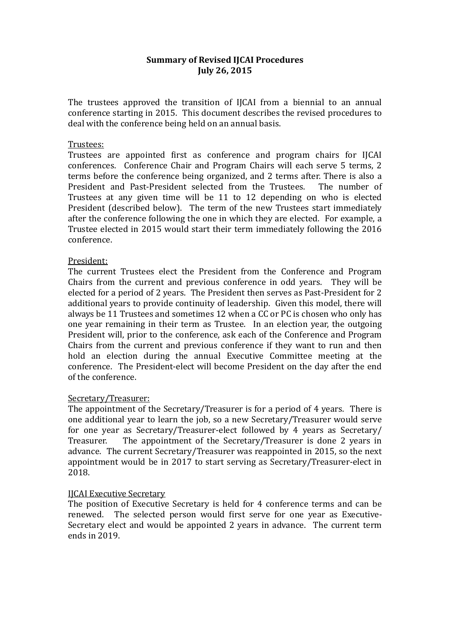# **Summary of Revised IJCAI Procedures July 26, 2015**

The trustees approved the transition of IJCAI from a biennial to an annual conference starting in 2015. This document describes the revised procedures to deal with the conference being held on an annual basis.

## Trustees:

Trustees are appointed first as conference and program chairs for IJCAI conferences. Conference Chair and Program Chairs will each serve 5 terms, 2 terms before the conference being organized, and 2 terms after. There is also a President and Past-President selected from the Trustees. The number of Trustees at any given time will be 11 to 12 depending on who is elected President (described below). The term of the new Trustees start immediately after the conference following the one in which they are elected. For example, a Trustee elected in 2015 would start their term immediately following the 2016 conference. 

## President:

The current Trustees elect the President from the Conference and Program Chairs from the current and previous conference in odd years. They will be elected for a period of 2 years. The President then serves as Past-President for 2 additional vears to provide continuity of leadership. Given this model, there will always be 11 Trustees and sometimes 12 when a CC or PC is chosen who only has one year remaining in their term as Trustee. In an election year, the outgoing President will, prior to the conference, ask each of the Conference and Program Chairs from the current and previous conference if they want to run and then hold an election during the annual Executive Committee meeting at the conference. The President-elect will become President on the day after the end of the conference.

### Secretary/Treasurer:

The appointment of the Secretary/Treasurer is for a period of 4 years. There is one additional year to learn the job, so a new Secretary/Treasurer would serve for one year as Secretary/Treasurer-elect followed by 4 years as Secretary/ Treasurer. The appointment of the Secretary/Treasurer is done 2 years in advance. The current Secretary/Treasurer was reappointed in 2015, so the next appointment would be in 2017 to start serving as Secretary/Treasurer-elect in 2018. 

### **IICAI** Executive Secretary

The position of Executive Secretary is held for 4 conference terms and can be renewed. The selected person would first serve for one year as Executive-Secretary elect and would be appointed 2 years in advance. The current term ends in 2019.